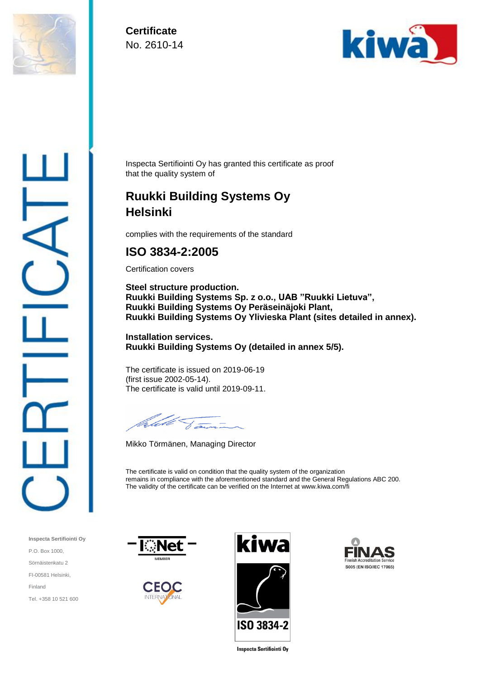

**Certificate** No. 2610-14



Inspecta Sertifiointi Oy has granted this certificate as proof that the quality system of

# **Ruukki Building Systems Oy Helsinki**

complies with the requirements of the standard

### **ISO 3834-2:2005**

Certification covers

**Steel structure production. Ruukki Building Systems Sp. z o.o., UAB "Ruukki Lietuva", Ruukki Building Systems Oy Peräseinäjoki Plant, Ruukki Building Systems Oy Ylivieska Plant (sites detailed in annex).**

**Installation services. Ruukki Building Systems Oy (detailed in annex 5/5).**

The certificate is issued on 2019-06-19 (first issue 2002-05-14). The certificate is valid until 2019-09-11.

lutele V

Mikko Törmänen, Managing Director

The certificate is valid on condition that the quality system of the organization remains in compliance with the aforementioned standard and the General Regulations ABC 200. The validity of the certificate can be verified on the Internet at www.kiwa.com/fi

**Inspecta Sertifiointi Oy** P.O. Box 1000, Sörnäistenkatu 2 FI-00581 Helsinki, Finland Tel. +358 10 521 600









**Inspecta Sertifiointi Oy**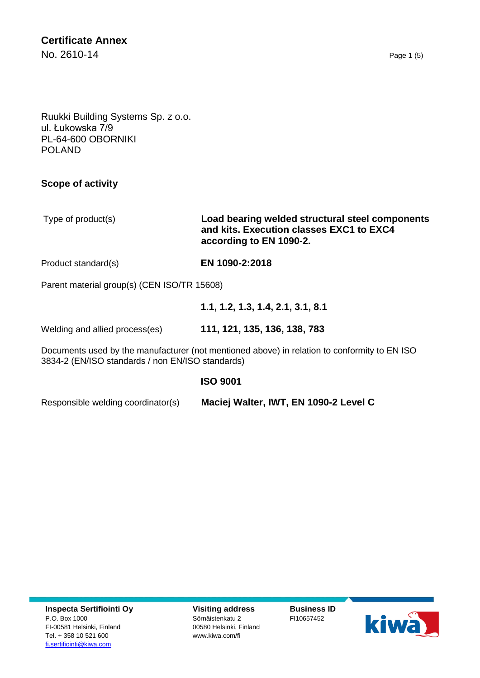## **Certificate Annex**

No. 2610-14 Page 1 (5)

Ruukki Building Systems Sp. z o.o. ul. Łukowska 7/9 PL-64-600 OBORNIKI POLAND

#### **Scope of activity**

Type of product(s) **Load bearing welded structural steel components and kits. Execution classes EXC1 to EXC4 according to EN 1090-2.**

Product standard(s) **EN 1090-2:2018**

Parent material group(s) (CEN ISO/TR 15608)

**1.1, 1.2, 1.3, 1.4, 2.1, 3.1, 8.1**

Welding and allied process(es) **111, 121, 135, 136, 138, 783**

Documents used by the manufacturer (not mentioned above) in relation to conformity to EN ISO 3834-2 (EN/ISO standards / non EN/ISO standards)

**ISO 9001**

Responsible welding coordinator(s) **Maciej Walter, IWT, EN 1090-2 Level C**

**Inspecta Sertifiointi Oy** P.O. Box 1000 FI-00581 Helsinki, Finland Tel. + 358 10 521 600 [fi.sertifiointi@kiwa.com](mailto:fi.sertifiointi@kiwa.com)

**Visiting address** Sörnäistenkatu 2 00580 Helsinki, Finland www.kiwa.com/fi

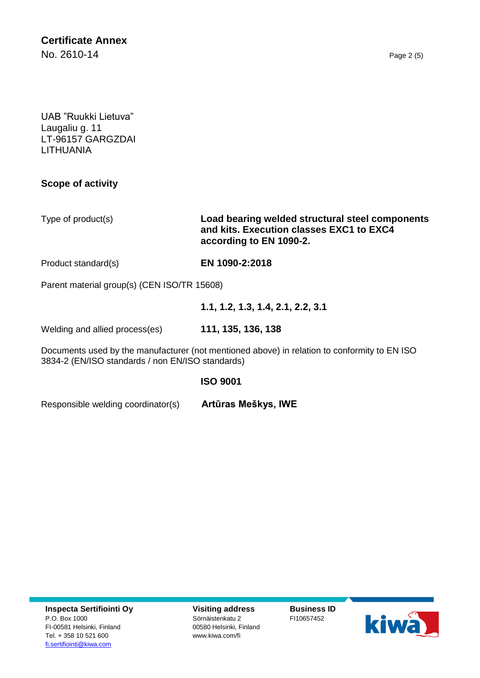UAB "Ruukki Lietuva" Laugaliu g. 11 LT-96157 GARGZDAI LITHUANIA

**Scope of activity**

Type of product(s) **Load bearing welded structural steel components and kits. Execution classes EXC1 to EXC4 according to EN 1090-2.**

Product standard(s) **EN 1090-2:2018**

Parent material group(s) (CEN ISO/TR 15608)

**1.1, 1.2, 1.3, 1.4, 2.1, 2.2, 3.1**

Welding and allied process(es) **111, 135, 136, 138**

Documents used by the manufacturer (not mentioned above) in relation to conformity to EN ISO 3834-2 (EN/ISO standards / non EN/ISO standards)

**ISO 9001**

Responsible welding coordinator(s) **Artūras Meškys, IWE**

**Inspecta Sertifiointi Oy** P.O. Box 1000 FI-00581 Helsinki, Finland Tel. + 358 10 521 600 [fi.sertifiointi@kiwa.com](mailto:fi.sertifiointi@kiwa.com)

**Visiting address** Sörnäistenkatu 2 00580 Helsinki, Finland www.kiwa.com/fi

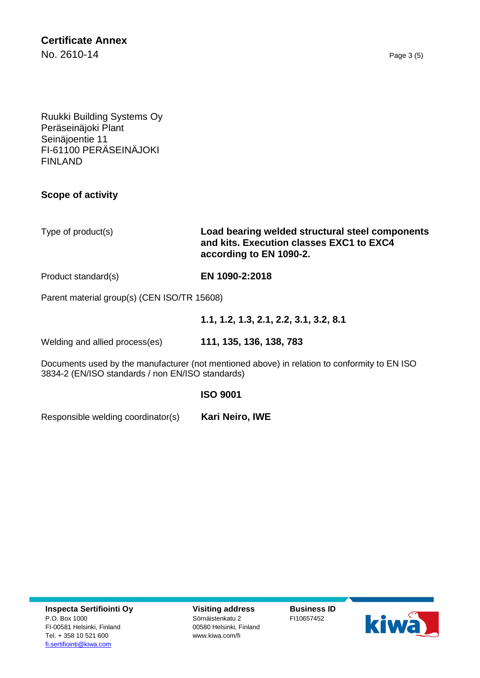Ruukki Building Systems Oy Peräseinäjoki Plant Seinäjoentie 11 FI-61100 PERÄSEINÄJOKI FINLAND

**Scope of activity**

Type of product(s) **Load bearing welded structural steel components and kits. Execution classes EXC1 to EXC4 according to EN 1090-2.**

Product standard(s) **EN 1090-2:2018**

Parent material group(s) (CEN ISO/TR 15608)

**1.1, 1.2, 1.3, 2.1, 2.2, 3.1, 3.2, 8.1**

Welding and allied process(es) **111, 135, 136, 138, 783**

Documents used by the manufacturer (not mentioned above) in relation to conformity to EN ISO 3834-2 (EN/ISO standards / non EN/ISO standards)

**ISO 9001**

Responsible welding coordinator(s) **Kari Neiro, IWE**

**Inspecta Sertifiointi Oy** P.O. Box 1000 FI-00581 Helsinki, Finland Tel. + 358 10 521 600 [fi.sertifiointi@kiwa.com](mailto:fi.sertifiointi@kiwa.com)

**Visiting address** Sörnäistenkatu 2 00580 Helsinki, Finland www.kiwa.com/fi

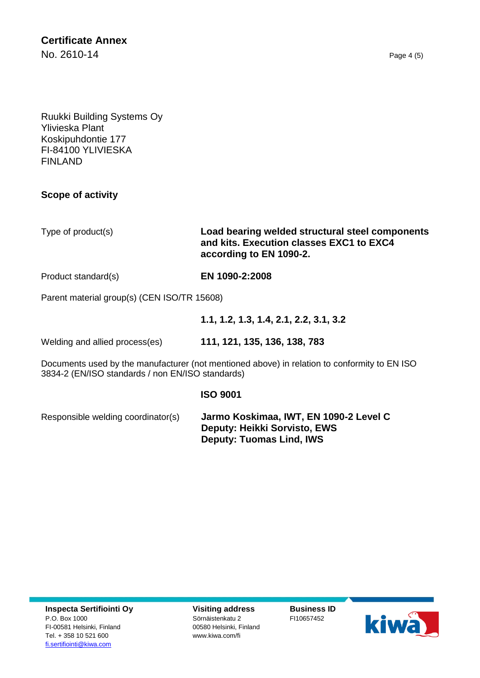Ruukki Building Systems Oy Ylivieska Plant Koskipuhdontie 177 FI-84100 YLIVIESKA FINLAND

**Scope of activity**

Type of product(s) **Load bearing welded structural steel components and kits. Execution classes EXC1 to EXC4 according to EN 1090-2.**

Product standard(s) **EN 1090-2:2008**

Parent material group(s) (CEN ISO/TR 15608)

**1.1, 1.2, 1.3, 1.4, 2.1, 2.2, 3.1, 3.2**

Welding and allied process(es) **111, 121, 135, 136, 138, 783**

Documents used by the manufacturer (not mentioned above) in relation to conformity to EN ISO 3834-2 (EN/ISO standards / non EN/ISO standards)

#### **ISO 9001**

Responsible welding coordinator(s) **Jarmo Koskimaa, IWT, EN 1090-2 Level C Deputy: Heikki Sorvisto, EWS Deputy: Tuomas Lind, IWS**

**Visiting address** Sörnäistenkatu 2 00580 Helsinki, Finland www.kiwa.com/fi